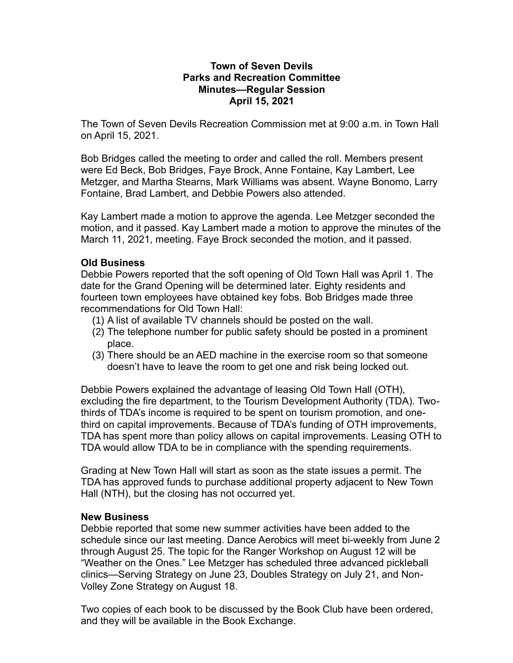## **Town of Seven Devils Parks and Recreation Committee Minutes—Regular Session April 15, 2021**

The Town of Seven Devils Recreation Commission met at 9:00 a.m. in Town Hall on April 15, 2021.

Bob Bridges called the meeting to order and called the roll. Members present were Ed Beck, Bob Bridges, Faye Brock, Anne Fontaine, Kay Lambert, Lee Metzger, and Martha Stearns, Mark Williams was absent. Wayne Bonomo, Larry Fontaine, Brad Lambert, and Debbie Powers also attended.

Kay Lambert made a motion to approve the agenda. Lee Metzger seconded the motion, and it passed. Kay Lambert made a motion to approve the minutes of the March 11, 2021, meeting. Faye Brock seconded the motion, and it passed.

## **Old Business**

Debbie Powers reported that the soft opening of Old Town Hall was April 1. The date for the Grand Opening will be determined later. Eighty residents and fourteen town employees have obtained key fobs. Bob Bridges made three recommendations for Old Town Hall:

- (1) A list of available TV channels should be posted on the wall.
- (2) The telephone number for public safety should be posted in a prominent place.
- (3) There should be an AED machine in the exercise room so that someone doesn't have to leave the room to get one and risk being locked out.

Debbie Powers explained the advantage of leasing Old Town Hall (OTH), excluding the fire department, to the Tourism Development Authority (TDA). Twothirds of TDA's income is required to be spent on tourism promotion, and onethird on capital improvements. Because of TDA's funding of OTH improvements, TDA has spent more than policy allows on capital improvements. Leasing OTH to TDA would allow TDA to be in compliance with the spending requirements.

Grading at New Town Hall will start as soon as the state issues a permit. The TDA has approved funds to purchase additional property adjacent to New Town Hall (NTH), but the closing has not occurred yet.

## **New Business**

Debbie reported that some new summer activities have been added to the schedule since our last meeting. Dance Aerobics will meet bi-weekly from June 2 through August 25. The topic for the Ranger Workshop on August 12 will be "Weather on the Ones." Lee Metzger has scheduled three advanced pickleball clinics—Serving Strategy on June 23, Doubles Strategy on July 21, and Non-Volley Zone Strategy on August 18.

Two copies of each book to be discussed by the Book Club have been ordered, and they will be available in the Book Exchange.